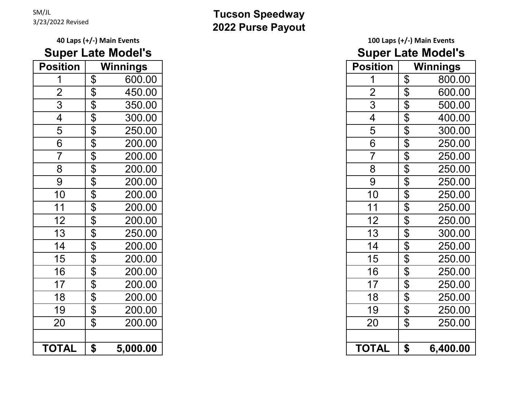### SM/JL

## **Super Late Model's Super Late Model's**

| <b>Position</b>          |                         | <b>Winnings</b> | <b>Position</b> |                       | <b>Winnings</b> |
|--------------------------|-------------------------|-----------------|-----------------|-----------------------|-----------------|
|                          | \$                      | 600.00          |                 | \$                    | 800.0           |
| $\overline{2}$           | \$                      | 450.00          | $\overline{2}$  | $\boldsymbol{\theta}$ | 600.0           |
| 3                        | \$                      | 350.00          | 3               | \$                    | 500.0           |
| $\overline{\mathcal{A}}$ | $\overline{\mathbf{S}}$ | 300.00          | $\overline{4}$  | \$                    | 400.0           |
| 5                        | \$                      | 250.00          | 5               | \$                    | 300.0           |
|                          | \$                      | 200.00          | 6               | \$                    | 250.0           |
|                          | \$                      | 200.00          | $\overline{7}$  | \$                    | 250.0           |
|                          | \$                      | 200.00          | 8               | \$                    | 250.0           |
|                          | \$                      | 200.00          | 9               | \$                    | 250.0           |
|                          | \$                      | 200.00          | 10              | $\boldsymbol{\theta}$ | 250.0           |
|                          | \$                      | 200.00          | 11              | \$                    | 250.0           |
| \$                       |                         | 200.00          | 12              | \$                    | 250.0           |
|                          | \$                      | 250.00          | 13              | \$                    | 300.0           |
|                          | \$                      | 200.00          | 14              | $\boldsymbol{\theta}$ | 250.0           |
|                          | \$                      | 200.00          | 15              | \$                    | 250.0           |
|                          | \$                      | 200.00          | 16              | \$                    | 250.0           |
|                          | \$                      | 200.00          | 17              | \$                    | 250.0           |
|                          | \$                      | 200.00          | 18              | \$                    | 250.0           |
|                          | \$                      | 200.00          | 19              | \$                    | 250.0           |
|                          | \$                      | 200.00          | 20              | \$                    | 250.0           |
|                          |                         |                 |                 |                       |                 |
| <b>TOTAL</b>             | \$                      | 5,000.00        | <b>TOTAL</b>    | \$                    | 6,400.          |

#### 3/23/2022 Revised **Tucson Speedway 2022 Purse Payout**

# **40 Laps (+/-) Main Events 100 Laps (+/-) Main Events**

| <b>Position</b> | <b>Winnings</b>       |          | <b>Position</b> |                            | <b>Winnings</b> |
|-----------------|-----------------------|----------|-----------------|----------------------------|-----------------|
|                 | $\mathfrak{P}$        | 600.00   |                 | $\mathfrak{S}$             | 800.00          |
| $\overline{2}$  | \$                    | 450.00   | $\overline{2}$  | $\boldsymbol{\theta}$      | 600.00          |
|                 |                       |          |                 |                            |                 |
| 3               | \$                    | 350.00   | 3               | $\boldsymbol{\theta}$      | 500.00          |
| $\overline{4}$  | $\boldsymbol{\theta}$ | 300.00   | $\overline{4}$  | \$                         | 400.00          |
| 5               | $\boldsymbol{\theta}$ | 250.00   | 5               | \$                         | 300.00          |
| 6               | \$                    | 200.00   | 6               | \$                         | 250.00          |
| $\overline{7}$  | \$                    | 200.00   | 7               | $\boldsymbol{\theta}$      | 250.00          |
| 8               | $\boldsymbol{\theta}$ | 200.00   | 8               | $\boldsymbol{\theta}$      | 250.00          |
| 9               | $\boldsymbol{\theta}$ | 200.00   | 9               | $\boldsymbol{\theta}$      | 250.00          |
| 10              | $\boldsymbol{\theta}$ | 200.00   | 10              | $\boldsymbol{\mathsf{\$}}$ | 250.00          |
| 11              | \$                    | 200.00   | 11              | $\boldsymbol{\theta}$      | 250.00          |
| 12              | \$                    | 200.00   | 12              | $\boldsymbol{\theta}$      | 250.00          |
| 13              | $\boldsymbol{\theta}$ | 250.00   | 13              | $\mathfrak{P}$             | 300.00          |
| 14              | \$                    | 200.00   | 14              | $\boldsymbol{\theta}$      | 250.00          |
| 15              | $\boldsymbol{\theta}$ | 200.00   | 15              | \$                         | 250.00          |
| 16              | \$                    | 200.00   | 16              | $\boldsymbol{\theta}$      | 250.00          |
| 17              | $\boldsymbol{\theta}$ | 200.00   | 17              | \$                         | 250.00          |
| 18              | $\boldsymbol{\theta}$ | 200.00   | 18              | \$                         | 250.00          |
| 19              | $\boldsymbol{\theta}$ | 200.00   | 19              | \$                         | 250.00          |
| 20              | $\boldsymbol{\theta}$ | 200.00   | 20              | $\boldsymbol{\theta}$      | 250.00          |
|                 |                       |          |                 |                            |                 |
| <b>TOTAL</b>    | \$                    | 5,000.00 | <b>TOTAL</b>    | $\boldsymbol{\mathsf{s}}$  | 6,400.00        |